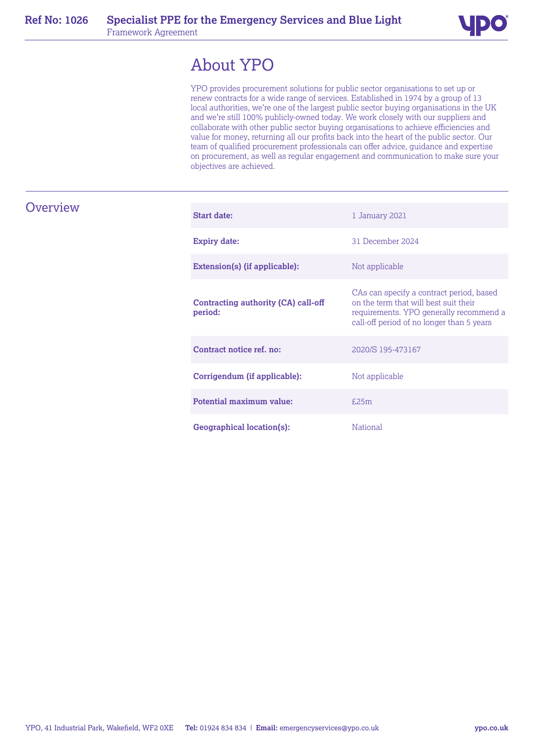

# About YPO

YPO provides procurement solutions for public sector organisations to set up or renew contracts for a wide range of services. Established in 1974 by a group of 13 local authorities, we're one of the largest public sector buying organisations in the UK and we're still 100% publicly-owned today. We work closely with our suppliers and collaborate with other public sector buying organisations to achieve efficiencies and value for money, returning all our profits back into the heart of the public sector. Our team of qualified procurement professionals can offer advice, guidance and expertise on procurement, as well as regular engagement and communication to make sure your objectives are achieved.

# **Overview**

| <b>Start date:</b>                                    | 1 January 2021                                                                                                                                                            |
|-------------------------------------------------------|---------------------------------------------------------------------------------------------------------------------------------------------------------------------------|
| <b>Expiry date:</b>                                   | 31 December 2024                                                                                                                                                          |
| Extension(s) (if applicable):                         | Not applicable                                                                                                                                                            |
| <b>Contracting authority (CA) call-off</b><br>period: | CAs can specify a contract period, based<br>on the term that will best suit their<br>requirements. YPO generally recommend a<br>call-off period of no longer than 5 years |
| Contract notice ref. no:                              | 2020/S 195-473167                                                                                                                                                         |
| Corrigendum (if applicable):                          | Not applicable                                                                                                                                                            |
| Potential maximum value:                              | f.25m                                                                                                                                                                     |
| Geographical location(s):                             | <b>National</b>                                                                                                                                                           |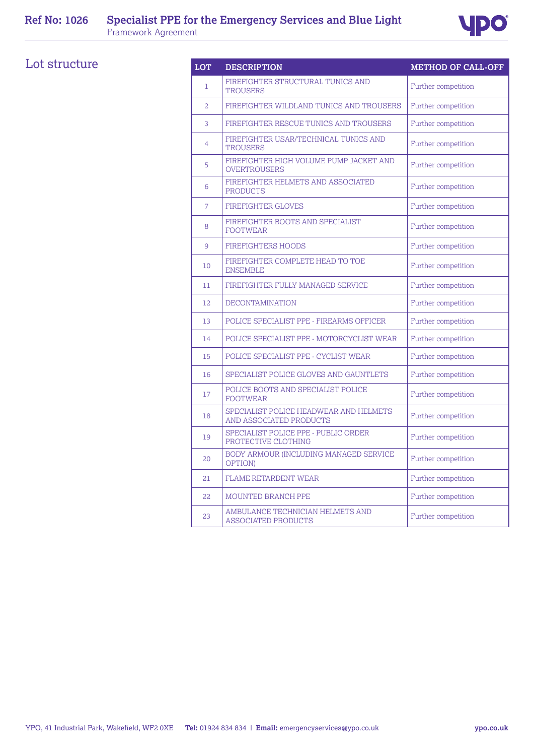

# Lot structure

| <b>LOT</b> | <b>DESCRIPTION</b>                                                | <b>METHOD OF CALL-OFF</b> |
|------------|-------------------------------------------------------------------|---------------------------|
| 1          | FIREFIGHTER STRUCTURAL TUNICS AND<br><b>TROUSERS</b>              | Further competition       |
| 2          | FIREFIGHTER WILDLAND TUNICS AND TROUSERS                          | Further competition       |
| 3          | FIREFIGHTER RESCUE TUNICS AND TROUSERS                            | Further competition       |
| 4          | FIREFIGHTER USAR/TECHNICAL TUNICS AND<br><b>TROUSERS</b>          | Further competition       |
| 5          | FIREFIGHTER HIGH VOLUME PUMP JACKET AND<br><b>OVERTROUSERS</b>    | Further competition       |
| 6          | FIREFIGHTER HELMETS AND ASSOCIATED<br><b>PRODUCTS</b>             | Further competition       |
| 7          | <b>FIREFIGHTER GLOVES</b>                                         | Further competition       |
| 8          | FIREFIGHTER BOOTS AND SPECIALIST<br><b>FOOTWEAR</b>               | Further competition       |
| 9          | <b>FIREFIGHTERS HOODS</b>                                         | Further competition       |
| 10         | FIREFIGHTER COMPLETE HEAD TO TOE<br><b>ENSEMBLE</b>               | Further competition       |
| 11         | FIREFIGHTER FULLY MANAGED SERVICE                                 | Further competition       |
| 12         | <b>DECONTAMINATION</b>                                            | Further competition       |
| 13         | POLICE SPECIALIST PPE - FIREARMS OFFICER                          | Further competition       |
| 14         | POLICE SPECIALIST PPE - MOTORCYCLIST WEAR                         | Further competition       |
| 15         | POLICE SPECIALIST PPE - CYCLIST WEAR                              | Further competition       |
| 16         | SPECIALIST POLICE GLOVES AND GAUNTLETS                            | Further competition       |
| 17         | POLICE BOOTS AND SPECIALIST POLICE<br><b>FOOTWEAR</b>             | Further competition       |
| 18         | SPECIALIST POLICE HEADWEAR AND HELMETS<br>AND ASSOCIATED PRODUCTS | Further competition       |
| 19         | SPECIALIST POLICE PPE - PUBLIC ORDER<br>PROTECTIVE CLOTHING       | Further competition       |
| 20         | BODY ARMOUR (INCLUDING MANAGED SERVICE<br>OPTION)                 | Further competition       |
| 21         | <b>FLAME RETARDENT WEAR</b>                                       | Further competition       |
| 22         | MOUNTED BRANCH PPE                                                | Further competition       |
| 23         | AMBULANCE TECHNICIAN HELMETS AND<br>ASSOCIATED PRODUCTS           | Further competition       |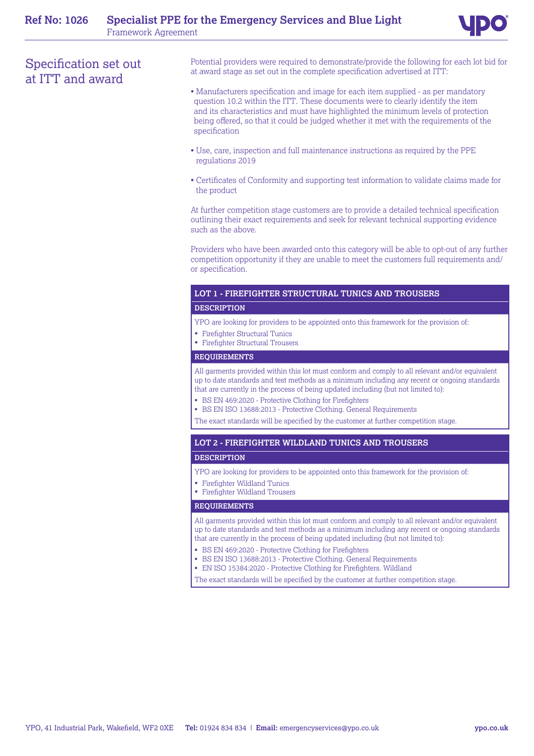# Specification set out at ITT and award

Potential providers were required to demonstrate/provide the following for each lot bid for at award stage as set out in the complete specification advertised at ITT:

- Manufacturers specification and image for each item supplied as per mandatory question 10.2 within the ITT. These documents were to clearly identify the item and its characteristics and must have highlighted the minimum levels of protection being offered, so that it could be judged whether it met with the requirements of the specification
- Use, care, inspection and full maintenance instructions as required by the PPE regulations 2019
- Certificates of Conformity and supporting test information to validate claims made for the product

At further competition stage customers are to provide a detailed technical specification outlining their exact requirements and seek for relevant technical supporting evidence such as the above.

Providers who have been awarded onto this category will be able to opt-out of any further competition opportunity if they are unable to meet the customers full requirements and/ or specification.

# **LOT 1 - FIREFIGHTER STRUCTURAL TUNICS AND TROUSERS**

### **DESCRIPTION**

YPO are looking for providers to be appointed onto this framework for the provision of:

- Firefighter Structural Tunics
- Firefighter Structural Trousers

#### **REQUIREMENTS**

All garments provided within this lot must conform and comply to all relevant and/or equivalent up to date standards and test methods as a minimum including any recent or ongoing standards that are currently in the process of being updated including (but not limited to):

- BS EN 469:2020 Protective Clothing for Firefighters
- BS EN ISO 13688:2013 Protective Clothing. General Requirements

The exact standards will be specified by the customer at further competition stage.

# **LOT 2 - FIREFIGHTER WILDLAND TUNICS AND TROUSERS**

## **DESCRIPTION**

- YPO are looking for providers to be appointed onto this framework for the provision of:
- Firefighter Wildland Tunics
- Firefighter Wildland Trousers

## **REQUIREMENTS**

All garments provided within this lot must conform and comply to all relevant and/or equivalent up to date standards and test methods as a minimum including any recent or ongoing standards that are currently in the process of being updated including (but not limited to):

- BS EN 469:2020 ‑ Protective Clothing for Firefighters
- BS EN ISO 13688:2013 ‑ Protective Clothing. General Requirements
- EN ISO 15384:2020 Protective Clothing for Firefighters. Wildland
- The exact standards will be specified by the customer at further competition stage.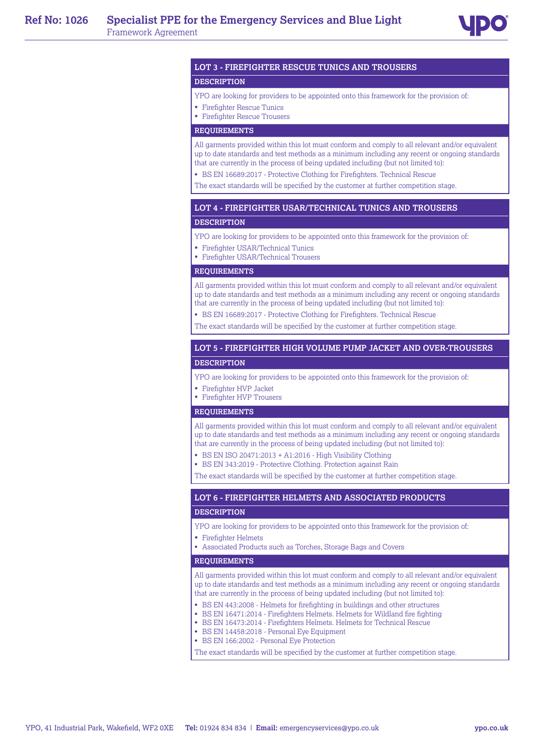

# **LOT 3 - FIREFIGHTER RESCUE TUNICS AND TROUSERS**

#### **DESCRIPTION**

#### YPO are looking for providers to be appointed onto this framework for the provision of:

- Firefighter Rescue Tunics
- Firefighter Rescue Trousers

#### **REQUIREMENTS**

All garments provided within this lot must conform and comply to all relevant and/or equivalent up to date standards and test methods as a minimum including any recent or ongoing standards that are currently in the process of being updated including (but not limited to):

- BS EN 16689:2017 Protective Clothing for Firefighters. Technical Rescue
- The exact standards will be specified by the customer at further competition stage.

## **LOT 4 - FIREFIGHTER USAR/TECHNICAL TUNICS AND TROUSERS**

#### **DESCRIPTION**

- YPO are looking for providers to be appointed onto this framework for the provision of:
- Firefighter USAR/Technical Tunics
- Firefighter USAR/Technical Trousers

#### **REQUIREMENTS**

All garments provided within this lot must conform and comply to all relevant and/or equivalent up to date standards and test methods as a minimum including any recent or ongoing standards that are currently in the process of being updated including (but not limited to):

- BS EN 16689:2017 Protective Clothing for Firefighters. Technical Rescue
- The exact standards will be specified by the customer at further competition stage.

# **LOT 5 - FIREFIGHTER HIGH VOLUME PUMP JACKET AND OVER-TROUSERS DESCRIPTION**

- YPO are looking for providers to be appointed onto this framework for the provision of:
- Firefighter HVP Jacket
- Firefighter HVP Trousers

#### **REQUIREMENTS**

All garments provided within this lot must conform and comply to all relevant and/or equivalent up to date standards and test methods as a minimum including any recent or ongoing standards that are currently in the process of being updated including (but not limited to):

- BS EN ISO 20471:2013 + A1:2016 High Visibility Clothing
- BS EN 343:2019 Protective Clothing. Protection against Rain

The exact standards will be specified by the customer at further competition stage.

# **LOT 6 - FIREFIGHTER HELMETS AND ASSOCIATED PRODUCTS**

### **DESCRIPTION**

YPO are looking for providers to be appointed onto this framework for the provision of:

- Firefighter Helmets
- Associated Products such as Torches, Storage Bags and Covers

#### **REQUIREMENTS**

All garments provided within this lot must conform and comply to all relevant and/or equivalent up to date standards and test methods as a minimum including any recent or ongoing standards that are currently in the process of being updated including (but not limited to):

- BS EN 443:2008 Helmets for firefighting in buildings and other structures
- BS EN 16471:2014 Firefighters Helmets. Helmets for Wildland fire fighting
- BS EN 16473:2014 Firefighters Helmets. Helmets for Technical Rescue
- BS EN 14458:2018 Personal Eye Equipment
- BS EN 166:2002 Personal Eye Protection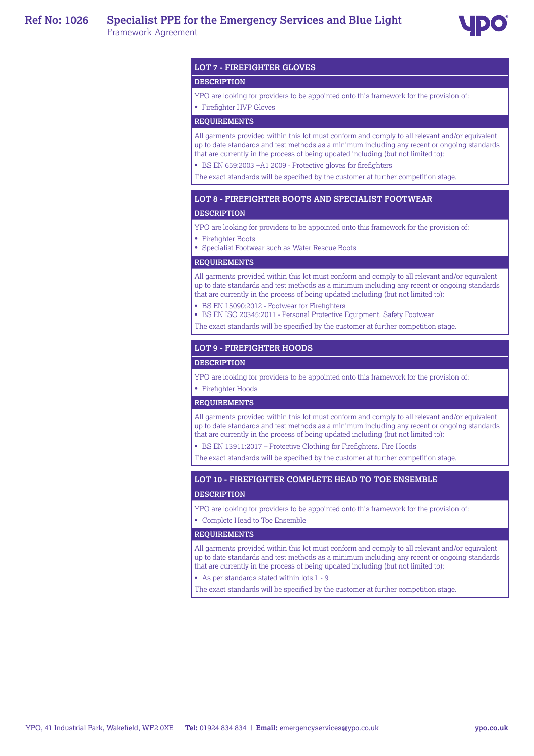

#### **LOT 7 - FIREFIGHTER GLOVES**

#### **DESCRIPTION**

YPO are looking for providers to be appointed onto this framework for the provision of:

• Firefighter HVP Gloves

# **REQUIREMENTS**

All garments provided within this lot must conform and comply to all relevant and/or equivalent up to date standards and test methods as a minimum including any recent or ongoing standards that are currently in the process of being updated including (but not limited to):

• BS EN 659:2003 +A1 2009 - Protective gloves for firefighters

The exact standards will be specified by the customer at further competition stage.

#### **LOT 8 - FIREFIGHTER BOOTS AND SPECIALIST FOOTWEAR**

#### **DESCRIPTION**

YPO are looking for providers to be appointed onto this framework for the provision of:

- Firefighter Boots
- Specialist Footwear such as Water Rescue Boots

#### **REQUIREMENTS**

All garments provided within this lot must conform and comply to all relevant and/or equivalent up to date standards and test methods as a minimum including any recent or ongoing standards that are currently in the process of being updated including (but not limited to):

- BS EN 15090:2012 Footwear for Firefighters
- BS EN ISO 20345:2011 Personal Protective Equipment. Safety Footwear
- The exact standards will be specified by the customer at further competition stage.

### **LOT 9 - FIREFIGHTER HOODS**

#### **DESCRIPTION**

YPO are looking for providers to be appointed onto this framework for the provision of:

# • Firefighter Hoods

# **REQUIREMENTS**

All garments provided within this lot must conform and comply to all relevant and/or equivalent up to date standards and test methods as a minimum including any recent or ongoing standards that are currently in the process of being updated including (but not limited to):

• BS EN 13911:2017 – Protective Clothing for Firefighters. Fire Hoods

The exact standards will be specified by the customer at further competition stage.

#### **LOT 10 - FIREFIGHTER COMPLETE HEAD TO TOE ENSEMBLE**

#### **DESCRIPTION**

YPO are looking for providers to be appointed onto this framework for the provision of:

• Complete Head to Toe Ensemble

#### **REQUIREMENTS**

All garments provided within this lot must conform and comply to all relevant and/or equivalent up to date standards and test methods as a minimum including any recent or ongoing standards that are currently in the process of being updated including (but not limited to):

• As per standards stated within lots 1 - 9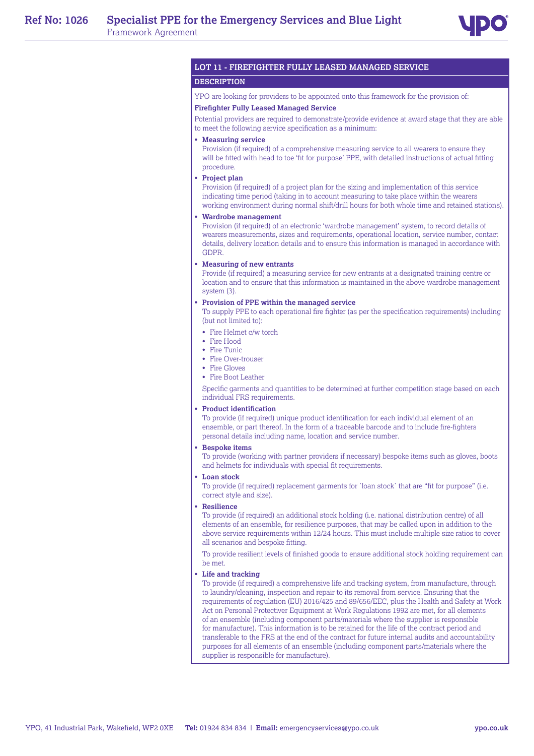

# **LOT 11 - FIREFIGHTER FULLY LEASED MANAGED SERVICE**

#### **DESCRIPTION**

YPO are looking for providers to be appointed onto this framework for the provision of: **Firefighter Fully Leased Managed Service** 

Potential providers are required to demonstrate/provide evidence at award stage that they are able to meet the following service specification as a minimum:

#### • **Measuring service**

Provision (if required) of a comprehensive measuring service to all wearers to ensure they will be fitted with head to toe 'fit for purpose' PPE, with detailed instructions of actual fitting procedure.

#### • **Project plan**

Provision (if required) of a project plan for the sizing and implementation of this service indicating time period (taking in to account measuring to take place within the wearers working environment during normal shift/drill hours for both whole time and retained stations).

#### • **Wardrobe management**

Provision (if required) of an electronic 'wardrobe management' system, to record details of wearers measurements, sizes and requirements, operational location, service number, contact details, delivery location details and to ensure this information is managed in accordance with GDPR.

#### • **Measuring of new entrants**

Provide (if required) a measuring service for new entrants at a designated training centre or location and to ensure that this information is maintained in the above wardrobe management system (3).

#### • **Provision of PPE within the managed service**

To supply PPE to each operational fire fighter (as per the specification requirements) including (but not limited to):

- Fire Helmet c/w torch
- Fire Hood
- Fire Tunic
- Fire Over-trouser
- Fire Gloves
- Fire Boot Leather

Specific garments and quantities to be determined at further competition stage based on each individual FRS requirements.

#### • **Product identification**

To provide (if required) unique product identification for each individual element of an ensemble, or part thereof. In the form of a traceable barcode and to include fire-fighters personal details including name, location and service number.

#### • **Bespoke items**

To provide (working with partner providers if necessary) bespoke items such as gloves, boots and helmets for individuals with special fit requirements.

• **Loan stock**

To provide (if required) replacement garments for `loan stock` that are "fit for purpose" (i.e. correct style and size).

• **Resilience**

To provide (if required) an additional stock holding (i.e. national distribution centre) of all elements of an ensemble, for resilience purposes, that may be called upon in addition to the above service requirements within 12/24 hours. This must include multiple size ratios to cover all scenarios and bespoke fitting.

To provide resilient levels of finished goods to ensure additional stock holding requirement can be met.

#### • **Life and tracking**

To provide (if required) a comprehensive life and tracking system, from manufacture, through to laundry/cleaning, inspection and repair to its removal from service. Ensuring that the requirements of regulation (EU) 2016/425 and 89/656/EEC, plus the Health and Safety at Work Act on Personal Protectiver Equipment at Work Regulations 1992 are met, for all elements of an ensemble (including component parts/materials where the supplier is responsible for manufacture). This information is to be retained for the life of the contract period and transferable to the FRS at the end of the contract for future internal audits and accountability purposes for all elements of an ensemble (including component parts/materials where the supplier is responsible for manufacture).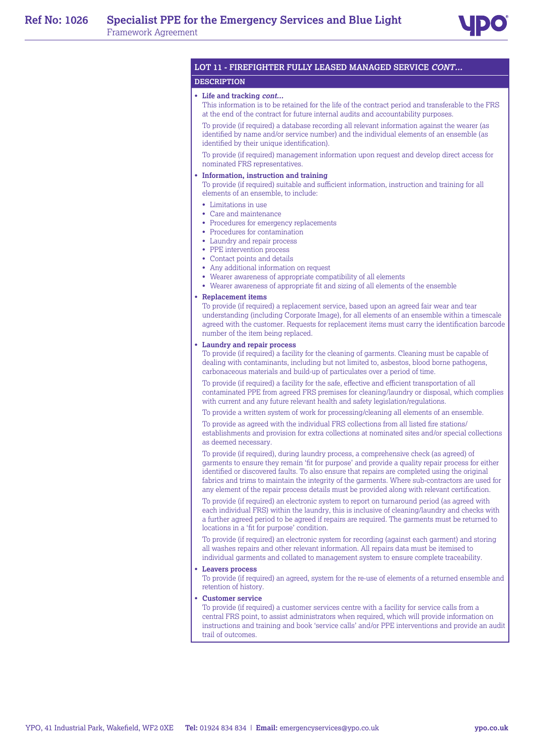

# **LOT 11 - FIREFIGHTER FULLY LEASED MANAGED SERVICE CONT...**

#### **DESCRIPTION**

#### • **Life and tracking cont...**

This information is to be retained for the life of the contract period and transferable to the FRS at the end of the contract for future internal audits and accountability purposes.

To provide (if required) a database recording all relevant information against the wearer (as identified by name and/or service number) and the individual elements of an ensemble (as identified by their unique identification).

To provide (if required) management information upon request and develop direct access for nominated FRS representatives.

#### • **Information, instruction and training**

To provide (if required) suitable and sufficient information, instruction and training for all elements of an ensemble, to include:

- Limitations in use
- Care and maintenance
- Procedures for emergency replacements
- Procedures for contamination
- Laundry and repair process
- PPE intervention process
- Contact points and details
- Any additional information on request
- Wearer awareness of appropriate compatibility of all elements
- Wearer awareness of appropriate fit and sizing of all elements of the ensemble

#### • **Replacement items**

To provide (if required) a replacement service, based upon an agreed fair wear and tear understanding (including Corporate Image), for all elements of an ensemble within a timescale agreed with the customer. Requests for replacement items must carry the identification barcode number of the item being replaced.

#### • **Laundry and repair process**

To provide (if required) a facility for the cleaning of garments. Cleaning must be capable of dealing with contaminants, including but not limited to, asbestos, blood borne pathogens, carbonaceous materials and build-up of particulates over a period of time.

To provide (if required) a facility for the safe, effective and efficient transportation of all contaminated PPE from agreed FRS premises for cleaning/laundry or disposal, which complies with current and any future relevant health and safety legislation/regulations.

To provide a written system of work for processing/cleaning all elements of an ensemble.

To provide as agreed with the individual FRS collections from all listed fire stations/ establishments and provision for extra collections at nominated sites and/or special collections as deemed necessary.

To provide (if required), during laundry process, a comprehensive check (as agreed) of garments to ensure they remain 'fit for purpose' and provide a quality repair process for either identified or discovered faults. To also ensure that repairs are completed using the original fabrics and trims to maintain the integrity of the garments. Where sub-contractors are used for any element of the repair process details must be provided along with relevant certification.

To provide (if required) an electronic system to report on turnaround period (as agreed with each individual FRS) within the laundry, this is inclusive of cleaning/laundry and checks with a further agreed period to be agreed if repairs are required. The garments must be returned to locations in a 'fit for purpose' condition.

To provide (if required) an electronic system for recording (against each garment) and storing all washes repairs and other relevant information. All repairs data must be itemised to individual garments and collated to management system to ensure complete traceability.

#### • **Leavers process**

To provide (if required) an agreed, system for the re-use of elements of a returned ensemble and retention of history.

#### • **Customer service**

To provide (if required) a customer services centre with a facility for service calls from a central FRS point, to assist administrators when required, which will provide information on instructions and training and book 'service calls' and/or PPE interventions and provide an audit trail of outcomes.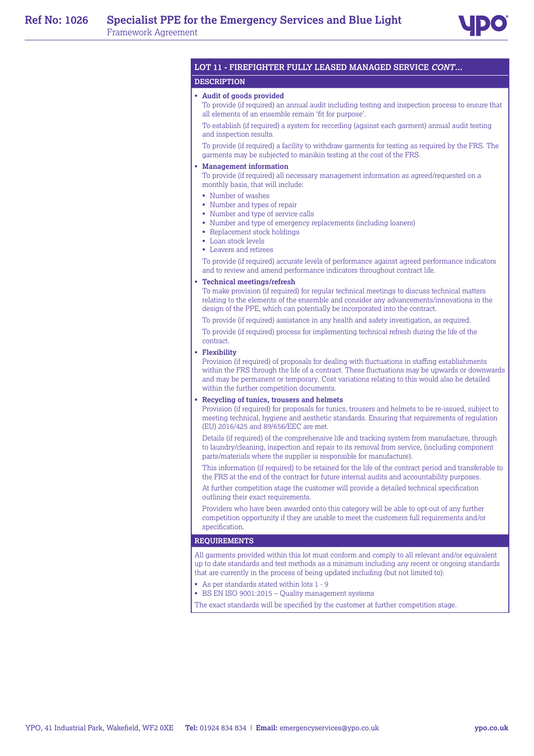

# **LOT 11 - FIREFIGHTER FULLY LEASED MANAGED SERVICE CONT...**

#### **DESCRIPTION**

#### • **Audit of goods provided**

To provide (if required) an annual audit including testing and inspection process to ensure that all elements of an ensemble remain 'fit for purpose'.

To establish (if required) a system for recording (against each garment) annual audit testing and inspection results.

To provide (if required) a facility to withdraw garments for testing as required by the FRS. The garments may be subjected to manikin testing at the cost of the FRS.

### • **Management information**

To provide (if required) all necessary management information as agreed/requested on a monthly basis, that will include:

- Number of washes
- Number and types of repair
- Number and type of service calls
- Number and type of emergency replacements (including loaners)
- Replacement stock holdings
- Loan stock levels
- Leavers and retirees

To provide (if required) accurate levels of performance against agreed performance indicators and to review and amend performance indicators throughout contract life.

#### • **Technical meetings/refresh**

To make provision (if required) for regular technical meetings to discuss technical matters relating to the elements of the ensemble and consider any advancements/innovations in the design of the PPE, which can potentially be incorporated into the contract.

To provide (if required) assistance in any health and safety investigation, as required.

To provide (if required) process for implementing technical refresh during the life of the contract.

#### • **Flexibility**

Provision (if required) of proposals for dealing with fluctuations in staffing establishments within the FRS through the life of a contract. These fluctuations may be upwards or downwards and may be permanent or temporary. Cost variations relating to this would also be detailed within the further competition documents.

#### • **Recycling of tunics, trousers and helmets**

Provision (if required) for proposals for tunics, trousers and helmets to be re-issued, subject to meeting technical, hygiene and aesthetic standards. Ensuring that requirements of regulation (EU) 2016/425 and 89/656/EEC are met.

Details (if required) of the comprehensive life and tracking system from manufacture, through to laundry/cleaning, inspection and repair to its removal from service, (including component parts/materials where the supplier is responsible for manufacture).

This information (if required) to be retained for the life of the contract period and transferable to the FRS at the end of the contract for future internal audits and accountability purposes.

At further competition stage the customer will provide a detailed technical specification outlining their exact requirements.

Providers who have been awarded onto this category will be able to opt-out of any further competition opportunity if they are unable to meet the customers full requirements and/or specification.

#### **REQUIREMENTS**

All garments provided within this lot must conform and comply to all relevant and/or equivalent up to date standards and test methods as a minimum including any recent or ongoing standards that are currently in the process of being updated including (but not limited to):

- As per standards stated within lots 1 9
- BS EN ISO 9001:2015 Quality management systems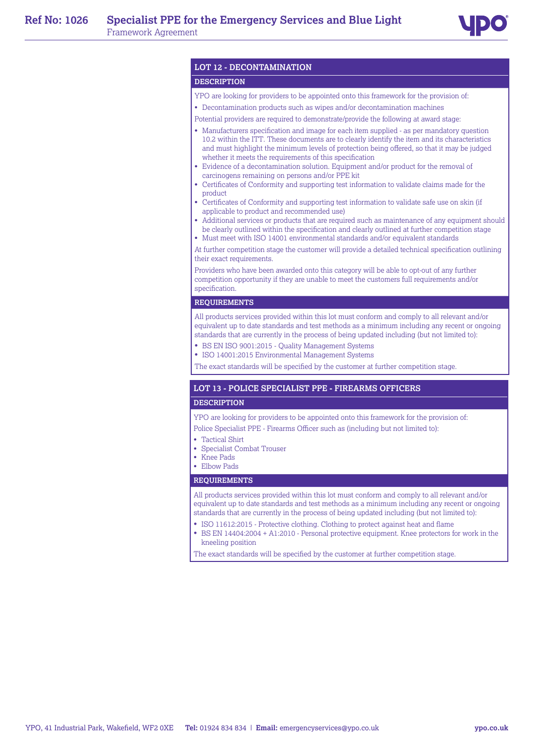

# **LOT 12 - DECONTAMINATION**

## **DESCRIPTION**

- YPO are looking for providers to be appointed onto this framework for the provision of:
- Decontamination products such as wipes and/or decontamination machines
- Potential providers are required to demonstrate/provide the following at award stage:
- Manufacturers specification and image for each item supplied as per mandatory question 10.2 within the ITT. These documents are to clearly identify the item and its characteristics and must highlight the minimum levels of protection being offered, so that it may be judged whether it meets the requirements of this specification
- Evidence of a decontamination solution. Equipment and/or product for the removal of carcinogens remaining on persons and/or PPE kit
- Certificates of Conformity and supporting test information to validate claims made for the product
- Certificates of Conformity and supporting test information to validate safe use on skin (if applicable to product and recommended use)
- Additional services or products that are required such as maintenance of any equipment should be clearly outlined within the specification and clearly outlined at further competition stage
- Must meet with ISO 14001 environmental standards and/or equivalent standards

At further competition stage the customer will provide a detailed technical specification outlining their exact requirements.

Providers who have been awarded onto this category will be able to opt-out of any further competition opportunity if they are unable to meet the customers full requirements and/or specification.

#### **REQUIREMENTS**

All products services provided within this lot must conform and comply to all relevant and/or equivalent up to date standards and test methods as a minimum including any recent or ongoing standards that are currently in the process of being updated including (but not limited to):

- BS EN ISO 9001:2015 Quality Management Systems
- ISO 14001:2015 Environmental Management Systems

The exact standards will be specified by the customer at further competition stage.

#### **LOT 13 - POLICE SPECIALIST PPE - FIREARMS OFFICERS**

#### **DESCRIPTION**

YPO are looking for providers to be appointed onto this framework for the provision of: Police Specialist PPE - Firearms Officer such as (including but not limited to):

- 
- Tactical Shirt
- Specialist Combat Trouser
- Knee Pads
- Elbow Pads

#### **REQUIREMENTS**

All products services provided within this lot must conform and comply to all relevant and/or equivalent up to date standards and test methods as a minimum including any recent or ongoing standards that are currently in the process of being updated including (but not limited to):

- ISO 11612:2015 Protective clothing. Clothing to protect against heat and flame
- BS EN 14404:2004 + A1:2010 Personal protective equipment. Knee protectors for work in the kneeling position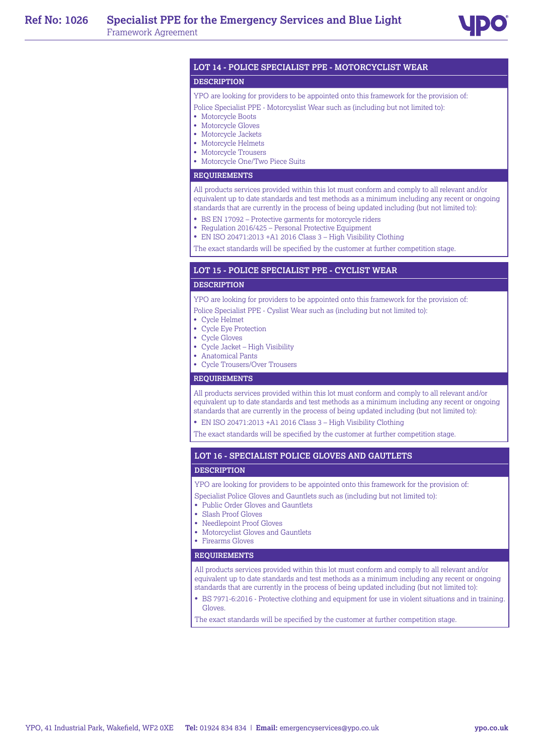

#### **LOT 14 - POLICE SPECIALIST PPE - MOTORCYCLIST WEAR**

#### **DESCRIPTION**

#### YPO are looking for providers to be appointed onto this framework for the provision of:

- Police Specialist PPE Motorcyslist Wear such as (including but not limited to):
- Motorcycle Boots
- Motorcycle Gloves
- Motorcycle Jackets
- Motorcycle Helmets
- Motorcycle Trousers
- Motorcycle One/Two Piece Suits

# **REQUIREMENTS**

All products services provided within this lot must conform and comply to all relevant and/or equivalent up to date standards and test methods as a minimum including any recent or ongoing standards that are currently in the process of being updated including (but not limited to):

- BS EN 17092 Protective garments for motorcycle riders
- Regulation 2016/425 Personal Protective Equipment
- EN ISO 20471:2013 +A1 2016 Class 3 High Visibility Clothing

The exact standards will be specified by the customer at further competition stage.

# **LOT 15 - POLICE SPECIALIST PPE - CYCLIST WEAR**

#### **DESCRIPTION**

YPO are looking for providers to be appointed onto this framework for the provision of:

- Police Specialist PPE Cyslist Wear such as (including but not limited to):
- Cycle Helmet
- Cycle Eye Protection
- Cycle Gloves
- Cycle Jacket High Visibility
- Anatomical Pants
- Cycle Trousers/Over Trousers

# **REQUIREMENTS**

All products services provided within this lot must conform and comply to all relevant and/or equivalent up to date standards and test methods as a minimum including any recent or ongoing standards that are currently in the process of being updated including (but not limited to):

• EN ISO 20471:2013 +A1 2016 Class 3 – High Visibility Clothing

The exact standards will be specified by the customer at further competition stage.

# **LOT 16 - SPECIALIST POLICE GLOVES AND GAUTLETS**

#### **DESCRIPTION**

YPO are looking for providers to be appointed onto this framework for the provision of:

Specialist Police Gloves and Gauntlets such as (including but not limited to):

- Public Order Gloves and Gauntlets
- Slash Proof Gloves
- Needlepoint Proof Gloves
- Motorcyclist Gloves and Gauntlets
- Firearms Gloves

#### **REQUIREMENTS**

All products services provided within this lot must conform and comply to all relevant and/or equivalent up to date standards and test methods as a minimum including any recent or ongoing standards that are currently in the process of being updated including (but not limited to):

• BS 7971-6:2016 - Protective clothing and equipment for use in violent situations and in training. Gloves.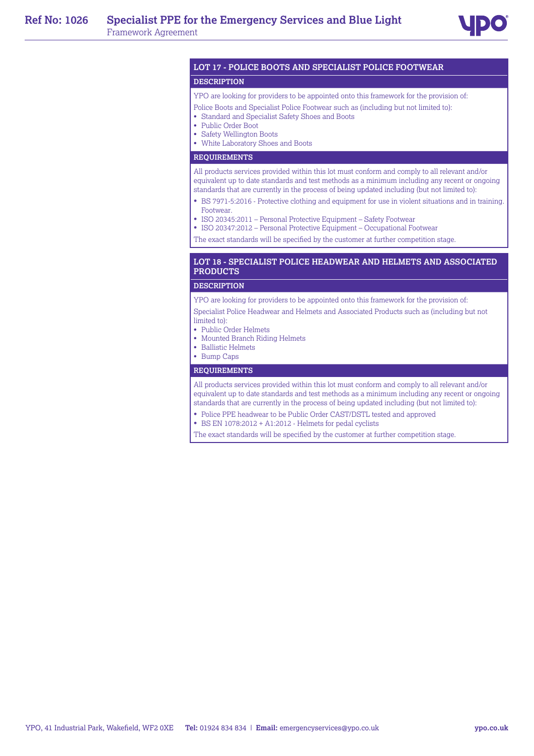

# **LOT 17 - POLICE BOOTS AND SPECIALIST POLICE FOOTWEAR**

#### **DESCRIPTION**

YPO are looking for providers to be appointed onto this framework for the provision of:

- Police Boots and Specialist Police Footwear such as (including but not limited to):
- Standard and Specialist Safety Shoes and Boots
- Public Order Boot
- Safety Wellington Boots
- White Laboratory Shoes and Boots

## **REQUIREMENTS**

All products services provided within this lot must conform and comply to all relevant and/or equivalent up to date standards and test methods as a minimum including any recent or ongoing standards that are currently in the process of being updated including (but not limited to):

- BS 7971-5:2016 Protective clothing and equipment for use in violent situations and in training. Footwear.
- ISO 20345:2011 Personal Protective Equipment Safety Footwear
- ISO 20347:2012 Personal Protective Equipment Occupational Footwear

The exact standards will be specified by the customer at further competition stage.

# **LOT 18 - SPECIALIST POLICE HEADWEAR AND HELMETS AND ASSOCIATED PRODUCTS**

#### **DESCRIPTION**

YPO are looking for providers to be appointed onto this framework for the provision of: Specialist Police Headwear and Helmets and Associated Products such as (including but not limited to):

- Public Order Helmets
- Mounted Branch Riding Helmets
- Ballistic Helmets
- Bump Caps

#### **REQUIREMENTS**

All products services provided within this lot must conform and comply to all relevant and/or equivalent up to date standards and test methods as a minimum including any recent or ongoing standards that are currently in the process of being updated including (but not limited to):

- Police PPE headwear to be Public Order CAST/DSTL tested and approved
- BS EN 1078:2012 + A1:2012 Helmets for pedal cyclists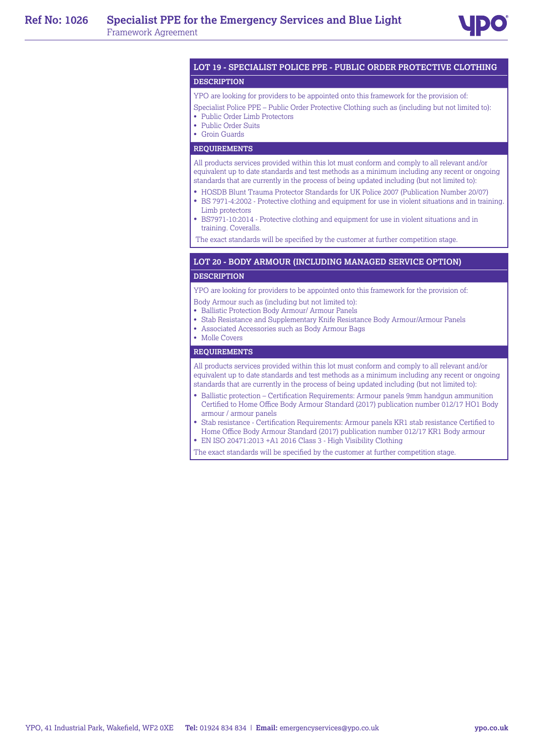

# **LOT 19 - SPECIALIST POLICE PPE - PUBLIC ORDER PROTECTIVE CLOTHING**

# **DESCRIPTION**

YPO are looking for providers to be appointed onto this framework for the provision of:

- Specialist Police PPE Public Order Protective Clothing such as (including but not limited to):
- Public Order Limb Protectors
- Public Order Suits
- Groin Guards

# **REQUIREMENTS**

All products services provided within this lot must conform and comply to all relevant and/or equivalent up to date standards and test methods as a minimum including any recent or ongoing standards that are currently in the process of being updated including (but not limited to):

- HOSDB Blunt Trauma Protector Standards for UK Police 2007 (Publication Number 20/07)
- BS 7971-4:2002 Protective clothing and equipment for use in violent situations and in training. Limb protectors
- BS7971-10:2014 Protective clothing and equipment for use in violent situations and in training. Coveralls.

The exact standards will be specified by the customer at further competition stage.

#### **LOT 20 - BODY ARMOUR (INCLUDING MANAGED SERVICE OPTION)**

#### **DESCRIPTION**

YPO are looking for providers to be appointed onto this framework for the provision of:

- Body Armour such as (including but not limited to):
- Ballistic Protection Body Armour/ Armour Panels
- Stab Resistance and Supplementary Knife Resistance Body Armour/Armour Panels
- Associated Accessories such as Body Armour Bags
- Molle Covers

# **REQUIREMENTS**

All products services provided within this lot must conform and comply to all relevant and/or equivalent up to date standards and test methods as a minimum including any recent or ongoing standards that are currently in the process of being updated including (but not limited to):

- Ballistic protection Certification Requirements: Armour panels 9mm handgun ammunition Certified to Home Office Body Armour Standard (2017) publication number 012/17 HO1 Body armour / armour panels
- Stab resistance Certification Requirements: Armour panels KR1 stab resistance Certified to Home Office Body Armour Standard (2017) publication number 012/17 KR1 Body armour
- EN ISO 20471:2013 +A1 2016 Class 3 High Visibility Clothing
- The exact standards will be specified by the customer at further competition stage.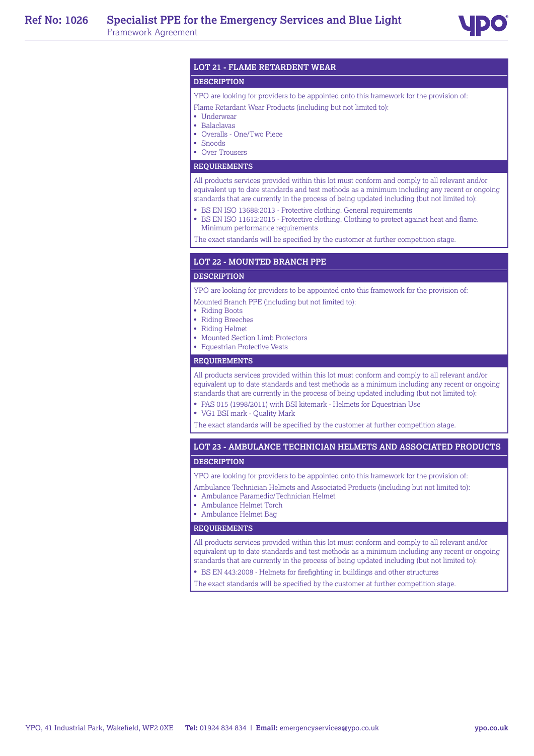# **LOT 21 - FLAME RETARDENT WEAR**

### **DESCRIPTION**

YPO are looking for providers to be appointed onto this framework for the provision of:

- Flame Retardant Wear Products (including but not limited to):
- Underwear
- Balaclavas
- Overalls One/Two Piece
- Snoods
- Over Trousers

#### **REQUIREMENTS**

All products services provided within this lot must conform and comply to all relevant and/or equivalent up to date standards and test methods as a minimum including any recent or ongoing standards that are currently in the process of being updated including (but not limited to):

- BS EN ISO 13688:2013 Protective clothing. General requirements
- BS EN ISO 11612:2015 Protective clothing. Clothing to protect against heat and flame. Minimum performance requirements

The exact standards will be specified by the customer at further competition stage.

#### **LOT 22 - MOUNTED BRANCH PPE**

### **DESCRIPTION**

YPO are looking for providers to be appointed onto this framework for the provision of:

- Mounted Branch PPE (including but not limited to):
- Riding Boots
- Riding Breeches
- Riding Helmet
- Mounted Section Limb Protectors
- Equestrian Protective Vests

#### **REQUIREMENTS**

All products services provided within this lot must conform and comply to all relevant and/or equivalent up to date standards and test methods as a minimum including any recent or ongoing standards that are currently in the process of being updated including (but not limited to):

- PAS 015 (1998/2011) with BSI kitemark Helmets for Equestrian Use
- VG1 BSI mark Quality Mark

The exact standards will be specified by the customer at further competition stage.

# **LOT 23 - AMBULANCE TECHNICIAN HELMETS AND ASSOCIATED PRODUCTS DESCRIPTION**

YPO are looking for providers to be appointed onto this framework for the provision of:

- Ambulance Technician Helmets and Associated Products (including but not limited to):
- Ambulance Paramedic/Technician Helmet
- Ambulance Helmet Torch
- Ambulance Helmet Bag

#### **REQUIREMENTS**

All products services provided within this lot must conform and comply to all relevant and/or equivalent up to date standards and test methods as a minimum including any recent or ongoing standards that are currently in the process of being updated including (but not limited to):

- BS EN 443:2008 Helmets for firefighting in buildings and other structures
- The exact standards will be specified by the customer at further competition stage.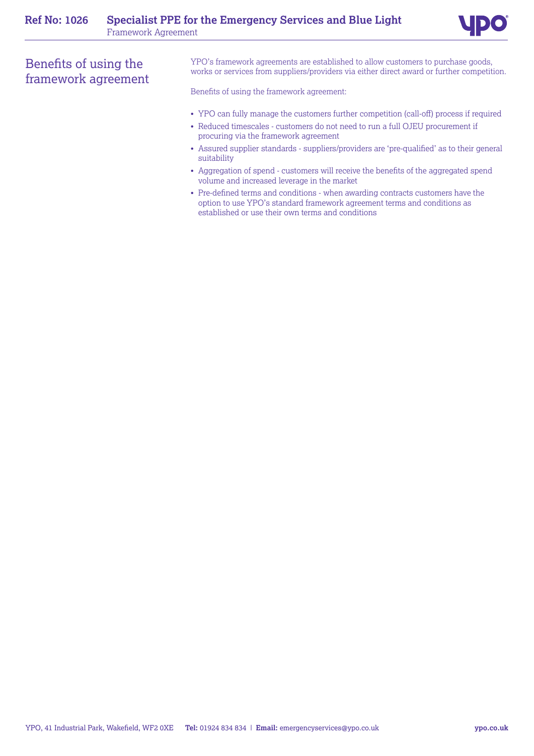# Benefits of using the framework agreement

YPO's framework agreements are established to allow customers to purchase goods, works or services from suppliers/providers via either direct award or further competition.

Benefits of using the framework agreement:

- YPO can fully manage the customers further competition (call-off) process if required
- Reduced timescales customers do not need to run a full OJEU procurement if procuring via the framework agreement
- Assured supplier standards suppliers/providers are 'pre-qualified' as to their general suitability
- Aggregation of spend customers will receive the benefits of the aggregated spend volume and increased leverage in the market
- Pre-defined terms and conditions when awarding contracts customers have the option to use YPO's standard framework agreement terms and conditions as established or use their own terms and conditions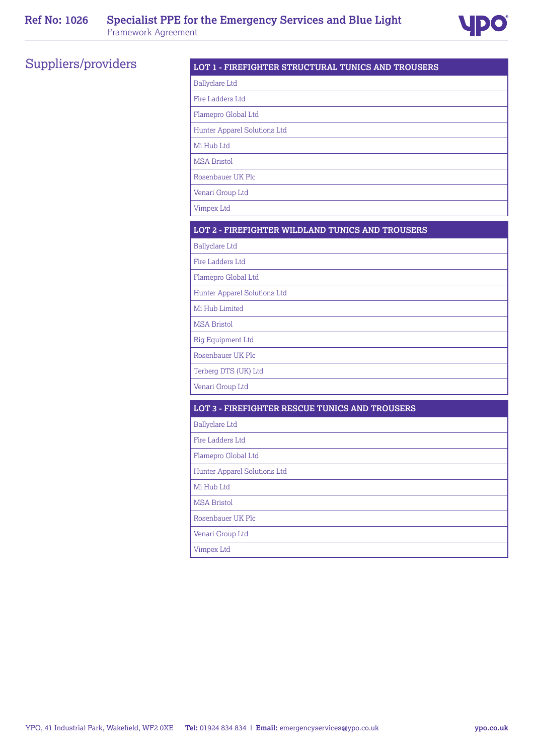

# Suppliers/providers **LOT 1 - FIREFIGHTER STRUCTURAL TUNICS AND TROUSERS**

| <b>Ballyclare Ltd</b>        |
|------------------------------|
| Fire Ladders Ltd             |
| Flamepro Global Ltd          |
| Hunter Apparel Solutions Ltd |
| Mi Hub Ltd                   |
| <b>MSA Bristol</b>           |
| Rosenbauer UK Plc            |
| Venari Group Ltd             |
| Vimpex Ltd                   |

# **LOT 2 - FIREFIGHTER WILDLAND TUNICS AND TROUSERS**

Ballyclare Ltd

Fire Ladders Ltd

Flamepro Global Ltd

Hunter Apparel Solutions Ltd

Mi Hub Limited

MSA Bristol

Rig Equipment Ltd

Rosenbauer UK Plc

Terberg DTS (UK) Ltd

Venari Group Ltd

# **LOT 3 - FIREFIGHTER RESCUE TUNICS AND TROUSERS**

Ballyclare Ltd

Fire Ladders Ltd

Flamepro Global Ltd

Hunter Apparel Solutions Ltd

Mi Hub Ltd

MSA Bristol

Rosenbauer UK Plc

Venari Group Ltd

Vimpex Ltd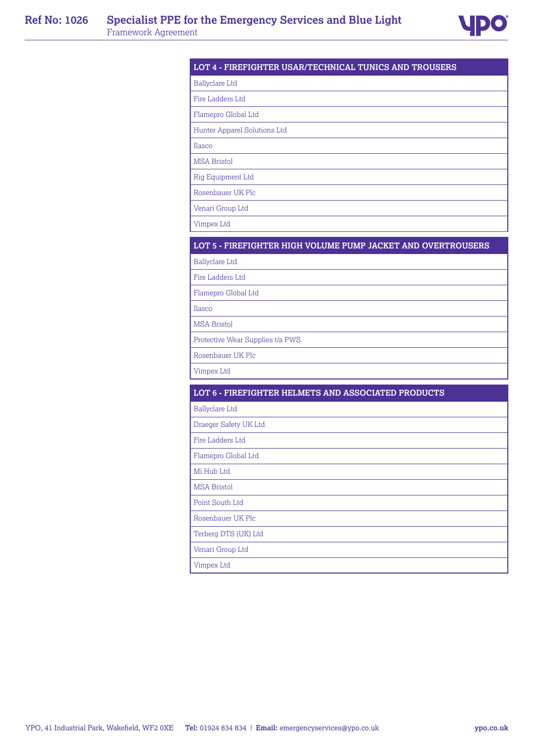

# **LOT 4 - FIREFIGHTER USAR/TECHNICAL TUNICS AND TROUSERS**

Ballyclare Ltd

Fire Ladders Ltd

Flamepro Global Ltd

Hunter Apparel Solutions Ltd

Ilasco

MSA Bristol

Rig Equipment Ltd

Rosenbauer UK Plc

Venari Group Ltd

Vimpex Ltd

# **LOT 5 - FIREFIGHTER HIGH VOLUME PUMP JACKET AND OVERTROUSERS**

Ballyclare Ltd

Fire Ladders Ltd

Flamepro Global Ltd

Ilasco

MSA Bristol

Protective Wear Supplies t/a PWS

Rosenbauer UK Plc

Vimpex Ltd

| LOT 6 - FIREFIGHTER HELMETS AND ASSOCIATED PRODUCTS |  |
|-----------------------------------------------------|--|
| <b>Ballyclare Ltd</b>                               |  |
| Draeger Safety UK Ltd                               |  |
| Fire Ladders Ltd                                    |  |
| Flamepro Global Ltd                                 |  |
| Mi Hub Ltd                                          |  |
| <b>MSA Bristol</b>                                  |  |
| Point South Ltd                                     |  |
| Rosenbauer UK Plc                                   |  |
| Terberg DTS (UK) Ltd                                |  |
| Venari Group Ltd                                    |  |
| Vimpex Ltd                                          |  |
|                                                     |  |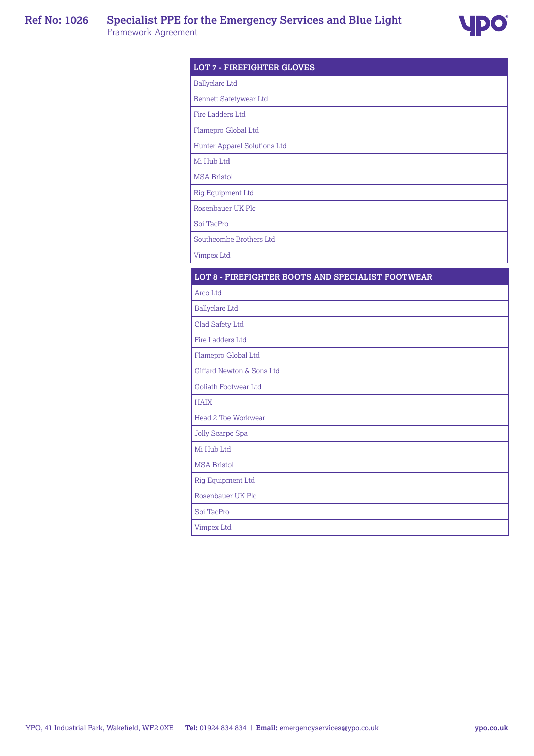

| <b>LOT 7 - FIREFIGHTER GLOVES</b>                 |  |
|---------------------------------------------------|--|
| <b>Ballyclare Ltd</b>                             |  |
| Bennett Safetywear Ltd                            |  |
| Fire Ladders Ltd                                  |  |
| Flamepro Global Ltd                               |  |
| Hunter Apparel Solutions Ltd                      |  |
| Mi Hub Ltd                                        |  |
| <b>MSA Bristol</b>                                |  |
| Rig Equipment Ltd                                 |  |
| Rosenbauer UK Plc                                 |  |
| Sbi TacPro                                        |  |
| Southcombe Brothers Ltd                           |  |
| Vimpex Ltd                                        |  |
| LOT 8 - FIREFIGHTER BOOTS AND SPECIALIST FOOTWEAR |  |
| Arco Ltd                                          |  |
| <b>Ballyclare Ltd</b>                             |  |
| Clad Safety Ltd                                   |  |
| Fire Ladders Ltd                                  |  |
| Flamepro Global Ltd                               |  |
| Giffard Newton & Sons Ltd                         |  |
| Goliath Footwear Ltd                              |  |
| <b>HAIX</b>                                       |  |
| Head 2 Toe Workwear                               |  |
| Jolly Scarpe Spa                                  |  |
| Mi Hub Ltd                                        |  |
| <b>MSA Bristol</b>                                |  |
| Rig Equipment Ltd                                 |  |
| Rosenbauer UK Plc                                 |  |
| Sbi TacPro                                        |  |
| Vimpex Ltd                                        |  |

YPO, 41 Industrial Park, Wakefield, WF2 0XE **Tel:** 01924 834 834 | **Email:** emergencyservices@ypo.co.uk **ypo.co.uk**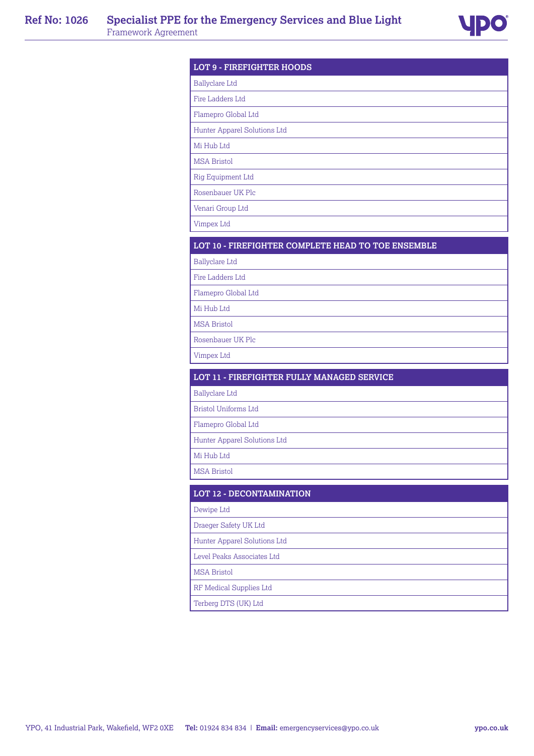

| <b>LOT 9 - FIREFIGHTER HOODS</b>                   |  |
|----------------------------------------------------|--|
| <b>Ballyclare Ltd</b>                              |  |
| Fire Ladders Ltd                                   |  |
| Flamepro Global Ltd                                |  |
| Hunter Apparel Solutions Ltd                       |  |
| Mi Hub Ltd                                         |  |
| <b>MSA Bristol</b>                                 |  |
| Rig Equipment Ltd                                  |  |
| Rosenbauer UK Plc                                  |  |
| Venari Group Ltd                                   |  |
| <b>Vimpex Ltd</b>                                  |  |
| LOT 10 - FIREFIGHTER COMPLETE HEAD TO TOE ENSEMBLE |  |
| <b>Ballyclare Ltd</b>                              |  |
| Fire Ladders Ltd                                   |  |
| Flamepro Global Ltd                                |  |
| Mi Hub Ltd                                         |  |
| <b>MSA Bristol</b>                                 |  |
| Rosenbauer UK Plc                                  |  |
| <b>Vimpex Ltd</b>                                  |  |
|                                                    |  |
| <b>LOT 11 - FIREFIGHTER FULLY MANAGED SERVICE</b>  |  |
| <b>Ballyclare Ltd</b>                              |  |
| <b>Bristol Uniforms Ltd</b>                        |  |
| Flamepro Global Ltd                                |  |
| Hunter Apparel Solutions Ltd                       |  |
| Mi Hub Ltd                                         |  |
| <b>MSA Bristol</b>                                 |  |
| LOT 12 - DECONTAMINATION                           |  |
| Dewipe Ltd                                         |  |
| Draeger Safety UK Ltd                              |  |
| Hunter Apparel Solutions Ltd                       |  |
| Level Peaks Associates Ltd                         |  |
| <b>MSA Bristol</b>                                 |  |
| RF Medical Supplies Ltd                            |  |
| Terberg DTS (UK) Ltd                               |  |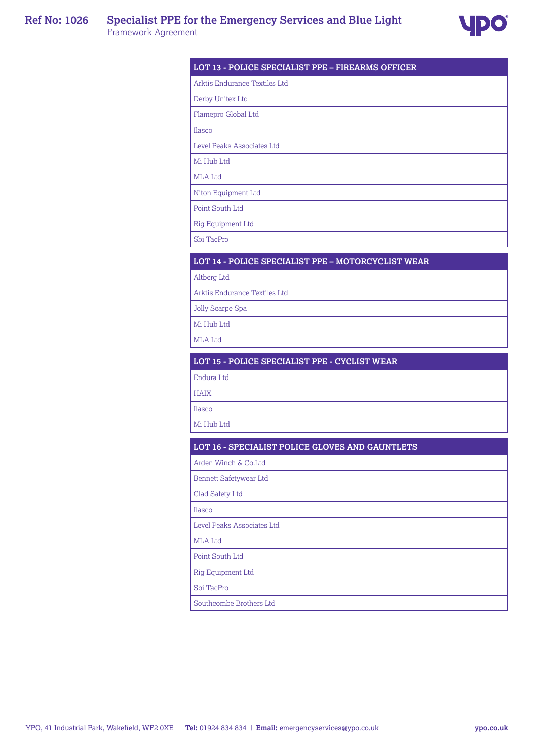

# **LOT 13 - POLICE SPECIALIST PPE – FIREARMS OFFICER**

Arktis Endurance Textiles Ltd

Derby Unitex Ltd

Flamepro Global Ltd

Ilasco

Level Peaks Associates Ltd

Mi Hub Ltd

MLA Ltd

Niton Equipment Ltd

Point South Ltd

Rig Equipment Ltd

Sbi TacPro

# **LOT 14 - POLICE SPECIALIST PPE – MOTORCYCLIST WEAR**

Altberg Ltd

Arktis Endurance Textiles Ltd

Jolly Scarpe Spa

Mi Hub Ltd

MLA Ltd

# **LOT 15 - POLICE SPECIALIST PPE - CYCLIST WEAR**

Endura Ltd

HAIX

Ilasco

Mi Hub Ltd

# **LOT 16 - SPECIALIST POLICE GLOVES AND GAUNTLETS**

Arden Winch & Co.Ltd

Bennett Safetywear Ltd

Clad Safety Ltd

Ilasco

Level Peaks Associates Ltd

MLA Ltd

Point South Ltd

Rig Equipment Ltd

Sbi TacPro

Southcombe Brothers Ltd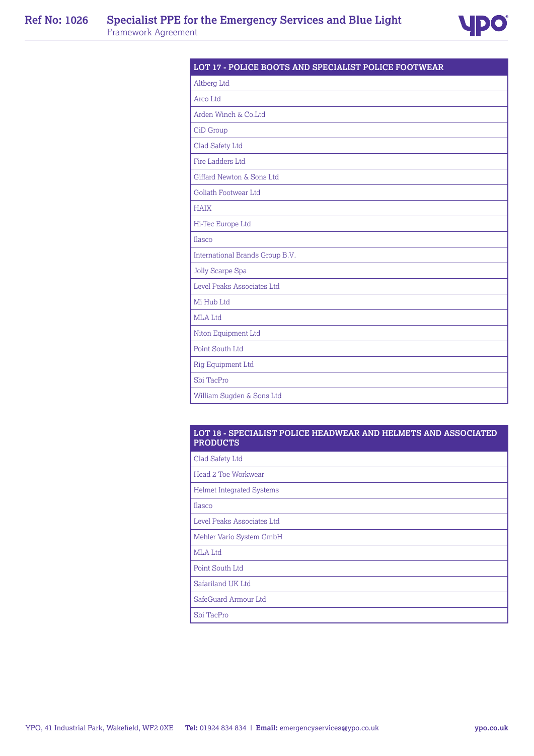

| LOT 17 - POLICE BOOTS AND SPECIALIST POLICE FOOTWEAR |  |
|------------------------------------------------------|--|
| Altberg Ltd                                          |  |
| Arco Ltd                                             |  |
| Arden Winch & Co.Ltd                                 |  |
| CiD Group                                            |  |
| Clad Safety Ltd                                      |  |
| Fire Ladders Ltd                                     |  |
| Giffard Newton & Sons Ltd                            |  |
| Goliath Footwear Ltd                                 |  |
| <b>HAIX</b>                                          |  |
| Hi-Tec Europe Ltd                                    |  |
| Ilasco                                               |  |
| International Brands Group B.V.                      |  |
| Jolly Scarpe Spa                                     |  |
| Level Peaks Associates Ltd                           |  |
| Mi Hub Ltd                                           |  |
| MLA Ltd                                              |  |
| Niton Equipment Ltd                                  |  |
| Point South Ltd                                      |  |
| Rig Equipment Ltd                                    |  |
| Shi TacPro                                           |  |
| William Sugden & Sons Ltd                            |  |

## **LOT 18 - SPECIALIST POLICE HEADWEAR AND HELMETS AND ASSOCIATED PRODUCTS**

| Clad Safety Ltd                  |
|----------------------------------|
| Head 2 Toe Workwear              |
| <b>Helmet Integrated Systems</b> |
| Ilasco                           |
| Level Peaks Associates Ltd       |
| Mehler Vario System GmbH         |
| <b>MLA</b> Ltd                   |
| Point South Ltd                  |
| Safariland UK Ltd                |
| SafeGuard Armour Ltd             |
| Sbi TacPro                       |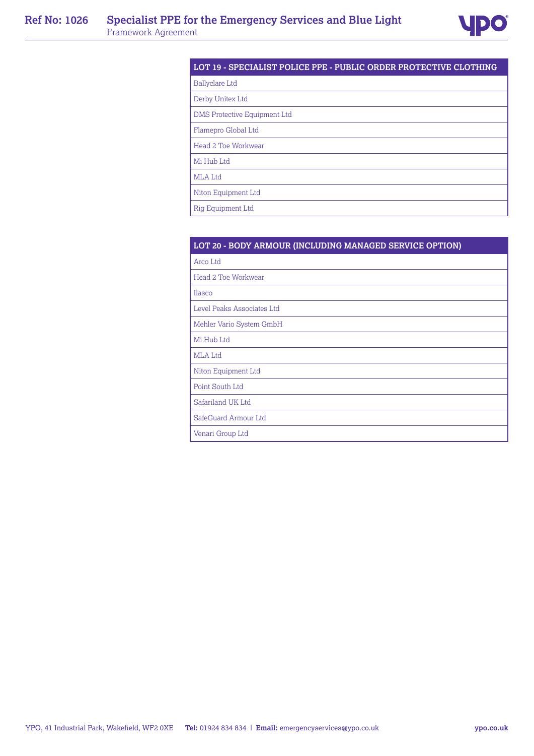

# **LOT 19 - SPECIALIST POLICE PPE - PUBLIC ORDER PROTECTIVE CLOTHING**

Ballyclare Ltd

Derby Unitex Ltd

DMS Protective Equipment Ltd

Flamepro Global Ltd

Head 2 Toe Workwear

Mi Hub Ltd

MLA Ltd

Niton Equipment Ltd

Rig Equipment Ltd

| LOT 20 - BODY ARMOUR (INCLUDING MANAGED SERVICE OPTION) |
|---------------------------------------------------------|
|                                                         |

Arco Ltd

Head 2 Toe Workwear

Ilasco

Level Peaks Associates Ltd

Mehler Vario System GmbH

Mi Hub Ltd

MLA Ltd

Niton Equipment Ltd

Point South Ltd

Safariland UK Ltd

SafeGuard Armour Ltd

Venari Group Ltd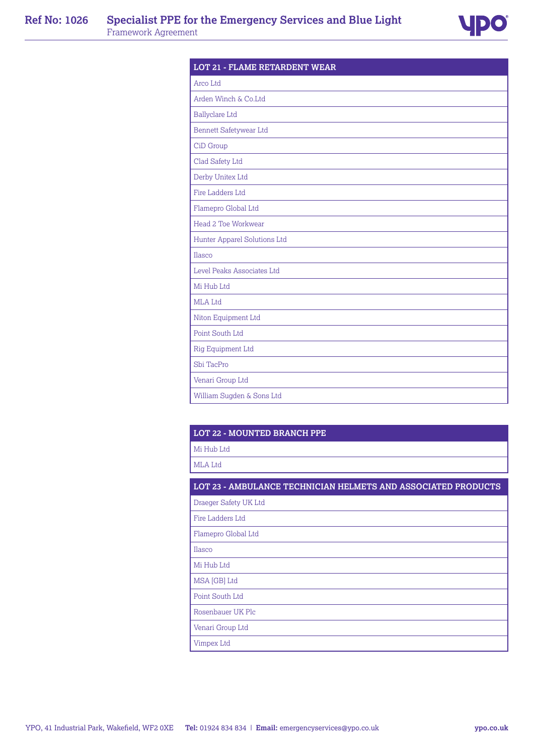

| Arco Ltd                     |  |
|------------------------------|--|
| Arden Winch & Co.Ltd         |  |
| <b>Ballyclare Ltd</b>        |  |
| Bennett Safetywear Ltd       |  |
| CiD Group                    |  |
| Clad Safety Ltd              |  |
| Derby Unitex Ltd             |  |
| Fire Ladders Ltd             |  |
| Flamepro Global Ltd          |  |
| Head 2 Toe Workwear          |  |
| Hunter Apparel Solutions Ltd |  |
| Ilasco                       |  |
| Level Peaks Associates Ltd   |  |
| Mi Hub Ltd                   |  |
| MLA Ltd                      |  |
| Niton Equipment Ltd          |  |
| Point South Ltd              |  |
| Rig Equipment Ltd            |  |
| Sbi TacPro                   |  |
| Venari Group Ltd             |  |
| William Sugden & Sons Ltd    |  |

# **LOT 22 - MOUNTED BRANCH PPE**

Mi Hub Ltd

MLA Ltd

# **LOT 23 - AMBULANCE TECHNICIAN HELMETS AND ASSOCIATED PRODUCTS**

Draeger Safety UK Ltd Fire Ladders Ltd Flamepro Global Ltd Ilasco Mi Hub Ltd MSA [GB] Ltd Point South Ltd Rosenbauer UK Plc Venari Group Ltd Vimpex Ltd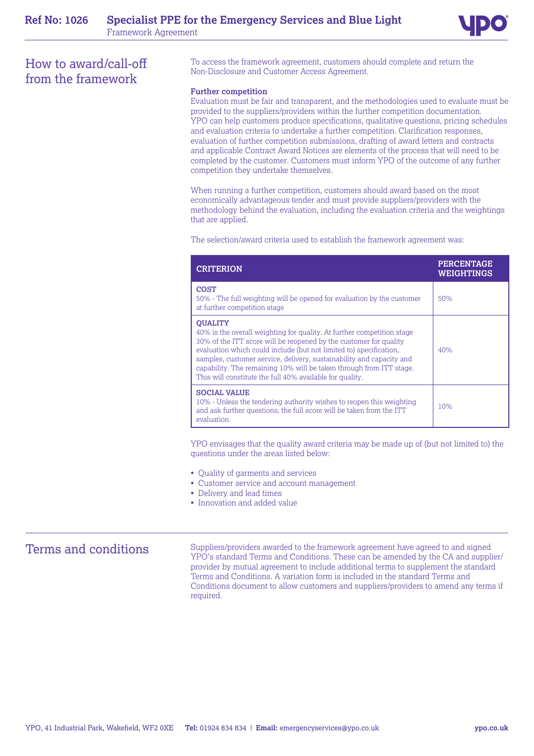

# How to award/call-off from the framework

To access the framework agreement, customers should complete and return the Non-Disclosure and Customer Access Agreement.

#### **Further competition**

Evaluation must be fair and transparent, and the methodologies used to evaluate must be provided to the suppliers/providers within the further competition documentation. YPO can help customers produce specifications, qualitative questions, pricing schedules and evaluation criteria to undertake a further competition. Clarification responses, evaluation of further competition submissions, drafting of award letters and contracts and applicable Contract Award Notices are elements of the process that will need to be completed by the customer. Customers must inform YPO of the outcome of any further competition they undertake themselves.

When running a further competition, customers should award based on the most economically advantageous tender and must provide suppliers/providers with the methodology behind the evaluation, including the evaluation criteria and the weightings that are applied.

The selection/award criteria used to establish the framework agreement was:

| <b>CRITERION</b>                                                                                                                                                                                                                                                                                                                                                                                                                               | <b>PERCENTAGE</b><br>WEIGHTINGS |
|------------------------------------------------------------------------------------------------------------------------------------------------------------------------------------------------------------------------------------------------------------------------------------------------------------------------------------------------------------------------------------------------------------------------------------------------|---------------------------------|
| <b>COST</b><br>50% - The full weighting will be opened for evaluation by the customer<br>at further competition stage                                                                                                                                                                                                                                                                                                                          | 50%                             |
| <b>OUALITY</b><br>40% is the overall weighting for quality. At further competition stage<br>30% of the ITT score will be reopened by the customer for quality<br>evaluation which could include (but not limited to) specification,<br>samples, customer service, delivery, sustainability and capacity and<br>capability. The remaining 10% will be taken through from ITT stage.<br>This will constitute the full 40% available for quality. | 40%                             |
| <b>SOCIAL VALUE</b><br>10% - Unless the tendering authority wishes to reopen this weighting<br>and ask further questions, the full score will be taken from the ITT<br>evaluation.                                                                                                                                                                                                                                                             | 10%                             |

YPO envisages that the quality award criteria may be made up of (but not limited to) the questions under the areas listed below:

- Quality of garments and services
- Customer service and account management
- Delivery and lead times
- Innovation and added value

Terms and conditions Suppliers/providers awarded to the framework agreement have agreed to and signed YPO's standard Terms and Conditions. These can be amended by the CA and supplier/ provider by mutual agreement to include additional terms to supplement the standard Terms and Conditions. A variation form is included in the standard Terms and Conditions document to allow customers and suppliers/providers to amend any terms if required.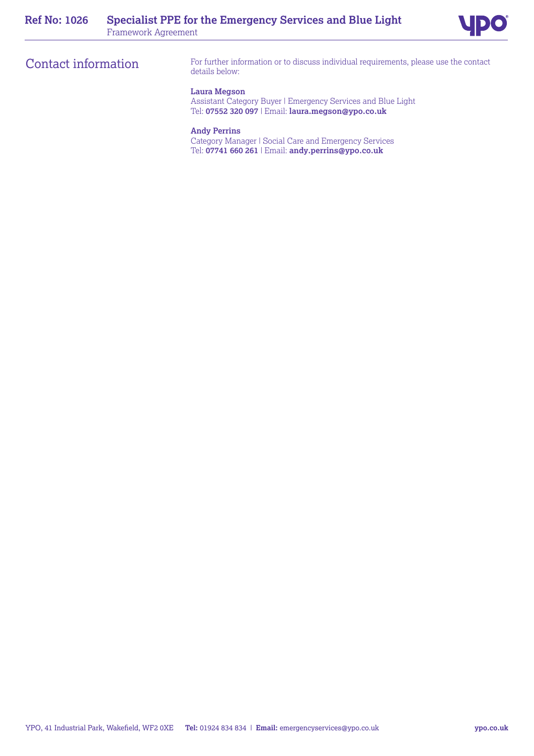# Contact information

For further information or to discuss individual requirements, please use the contact details below:

## **Laura Megson**

Assistant Category Buyer | Emergency Services and Blue Light Tel: **07552 320 097** | Email: **laura.megson@ypo.co.uk**

# **Andy Perrins**

Category Manager | Social Care and Emergency Services Tel: **07741 660 261** | Email: **andy.perrins@ypo.co.uk**